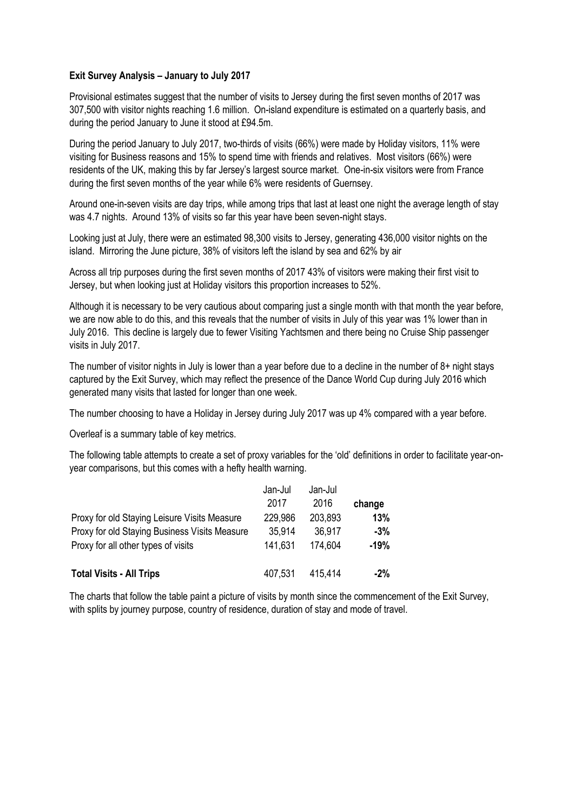## **Exit Survey Analysis – January to July 2017**

Provisional estimates suggest that the number of visits to Jersey during the first seven months of 2017 was 307,500 with visitor nights reaching 1.6 million. On-island expenditure is estimated on a quarterly basis, and during the period January to June it stood at £94.5m.

During the period January to July 2017, two-thirds of visits (66%) were made by Holiday visitors, 11% were visiting for Business reasons and 15% to spend time with friends and relatives. Most visitors (66%) were residents of the UK, making this by far Jersey's largest source market. One-in-six visitors were from France during the first seven months of the year while 6% were residents of Guernsey.

Around one-in-seven visits are day trips, while among trips that last at least one night the average length of stay was 4.7 nights. Around 13% of visits so far this year have been seven-night stays.

Looking just at July, there were an estimated 98,300 visits to Jersey, generating 436,000 visitor nights on the island. Mirroring the June picture, 38% of visitors left the island by sea and 62% by air

Across all trip purposes during the first seven months of 2017 43% of visitors were making their first visit to Jersey, but when looking just at Holiday visitors this proportion increases to 52%.

Although it is necessary to be very cautious about comparing just a single month with that month the year before, we are now able to do this, and this reveals that the number of visits in July of this year was 1% lower than in July 2016. This decline is largely due to fewer Visiting Yachtsmen and there being no Cruise Ship passenger visits in July 2017.

The number of visitor nights in July is lower than a year before due to a decline in the number of 8+ night stays captured by the Exit Survey, which may reflect the presence of the Dance World Cup during July 2016 which generated many visits that lasted for longer than one week.

The number choosing to have a Holiday in Jersey during July 2017 was up 4% compared with a year before.

Overleaf is a summary table of key metrics.

The following table attempts to create a set of proxy variables for the 'old' definitions in order to facilitate year-onyear comparisons, but this comes with a hefty health warning.

|                                               | Jan-Jul | Jan-Jul |        |
|-----------------------------------------------|---------|---------|--------|
|                                               | 2017    | 2016    | change |
| Proxy for old Staying Leisure Visits Measure  | 229,986 | 203,893 | 13%    |
| Proxy for old Staying Business Visits Measure | 35.914  | 36,917  | $-3%$  |
| Proxy for all other types of visits           | 141.631 | 174.604 | $-19%$ |
| <b>Total Visits - All Trips</b>               | 407,531 | 415.414 | $-2\%$ |

The charts that follow the table paint a picture of visits by month since the commencement of the Exit Survey, with splits by journey purpose, country of residence, duration of stay and mode of travel.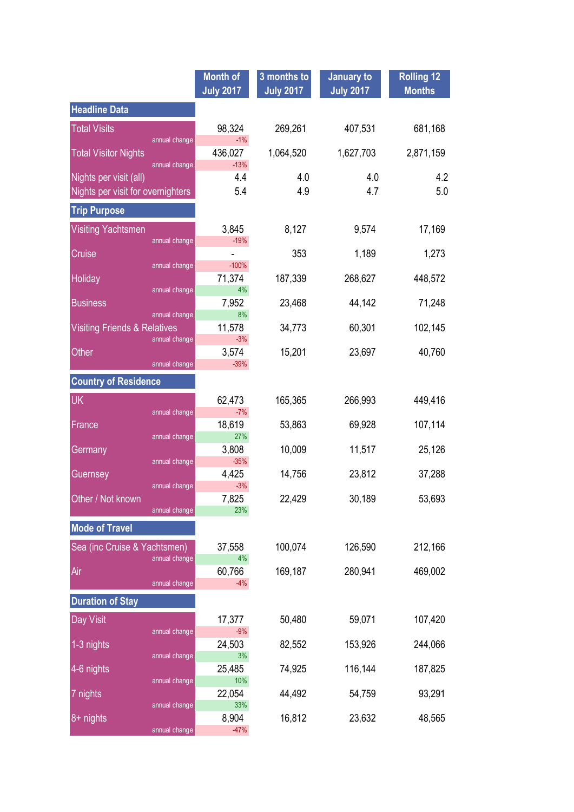|                                                          | <b>Month of</b><br><b>July 2017</b> | 3 months to<br><b>July 2017</b> | <b>January to</b><br><b>July 2017</b> | <b>Rolling 12</b><br><b>Months</b> |
|----------------------------------------------------------|-------------------------------------|---------------------------------|---------------------------------------|------------------------------------|
| <b>Headline Data</b>                                     |                                     |                                 |                                       |                                    |
| <b>Total Visits</b><br>annual change                     | 98,324<br>$-1%$                     | 269,261                         | 407,531                               | 681,168                            |
| <b>Total Visitor Nights</b><br>annual change             | 436,027<br>$-13%$                   | 1,064,520                       | 1,627,703                             | 2,871,159                          |
| Nights per visit (all)                                   | 4.4                                 | 4.0                             | 4.0                                   | 4.2                                |
| Nights per visit for overnighters                        | 5.4                                 | 4.9                             | 4.7                                   | 5.0                                |
| <b>Trip Purpose</b>                                      |                                     |                                 |                                       |                                    |
| <b>Visiting Yachtsmen</b>                                | 3,845                               | 8,127                           | 9,574                                 | 17,169                             |
| annual change<br>Cruise                                  | $-19%$                              | 353                             | 1,189                                 | 1,273                              |
| annual change                                            | $-100%$                             |                                 |                                       |                                    |
| Holiday<br>annual change                                 | 71,374<br>4%                        | 187,339                         | 268,627                               | 448,572                            |
| <b>Business</b>                                          | 7,952                               | 23,468                          | 44,142                                | 71,248                             |
| annual change<br><b>Visiting Friends &amp; Relatives</b> | 8%<br>11,578                        | 34,773                          | 60,301                                | 102,145                            |
| annual change                                            | $-3%$                               |                                 |                                       |                                    |
| Other<br>annual change                                   | 3,574<br>$-39%$                     | 15,201                          | 23,697                                | 40,760                             |
| <b>Country of Residence</b>                              |                                     |                                 |                                       |                                    |
| <b>UK</b>                                                | 62,473                              | 165,365                         | 266,993                               | 449,416                            |
| annual change                                            | $-7%$                               |                                 |                                       |                                    |
| France<br>annual change                                  | 18,619<br>27%                       | 53,863                          | 69,928                                | 107,114                            |
| Germany                                                  | 3,808                               | 10,009                          | 11,517                                | 25,126                             |
| annual change<br>Guernsey                                | $-35%$<br>4,425                     | 14,756                          | 23,812                                | 37,288                             |
| annual change                                            | $-3%$                               |                                 |                                       |                                    |
| Other / Not known<br>annual change                       | 7,825<br>23%                        | 22,429                          | 30,189                                | 53,693                             |
| <b>Mode of Travel</b>                                    |                                     |                                 |                                       |                                    |
| Sea (inc Cruise & Yachtsmen)                             | 37,558                              | 100,074                         | 126,590                               | 212,166                            |
| annual change                                            | 4%                                  |                                 |                                       |                                    |
| Air<br>annual change                                     | 60,766<br>$-4%$                     | 169,187                         | 280,941                               | 469,002                            |
| <b>Duration of Stay</b>                                  |                                     |                                 |                                       |                                    |
| Day Visit<br>annual change                               | 17,377<br>$-9%$                     | 50,480                          | 59,071                                | 107,420                            |
| 1-3 nights                                               | 24,503                              | 82,552                          | 153,926                               | 244,066                            |
| annual change<br>4-6 nights                              | 3%<br>25,485                        | 74,925                          | 116,144                               | 187,825                            |
| annual change<br>7 nights                                | 10%<br>22,054                       | 44,492                          | 54,759                                | 93,291                             |
| annual change                                            | 33%                                 |                                 |                                       |                                    |
| 8+ nights<br>annual change                               | 8,904<br>$-47%$                     | 16,812                          | 23,632                                | 48,565                             |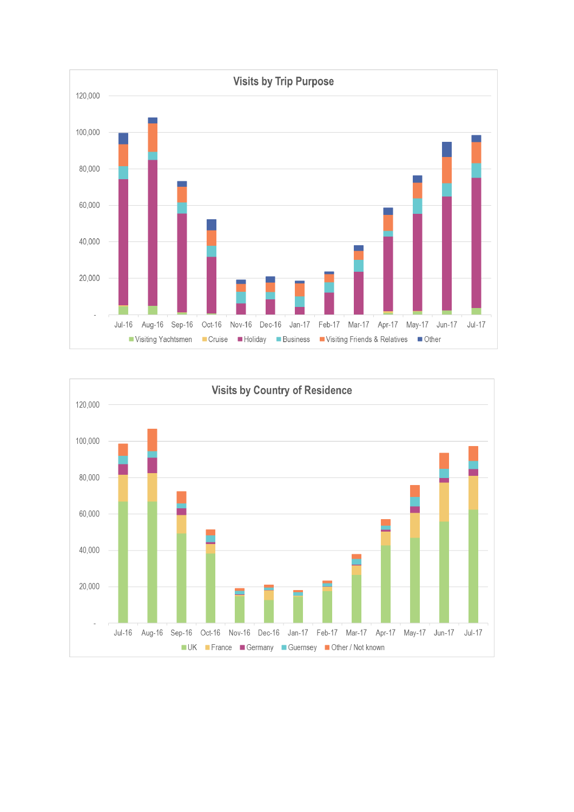